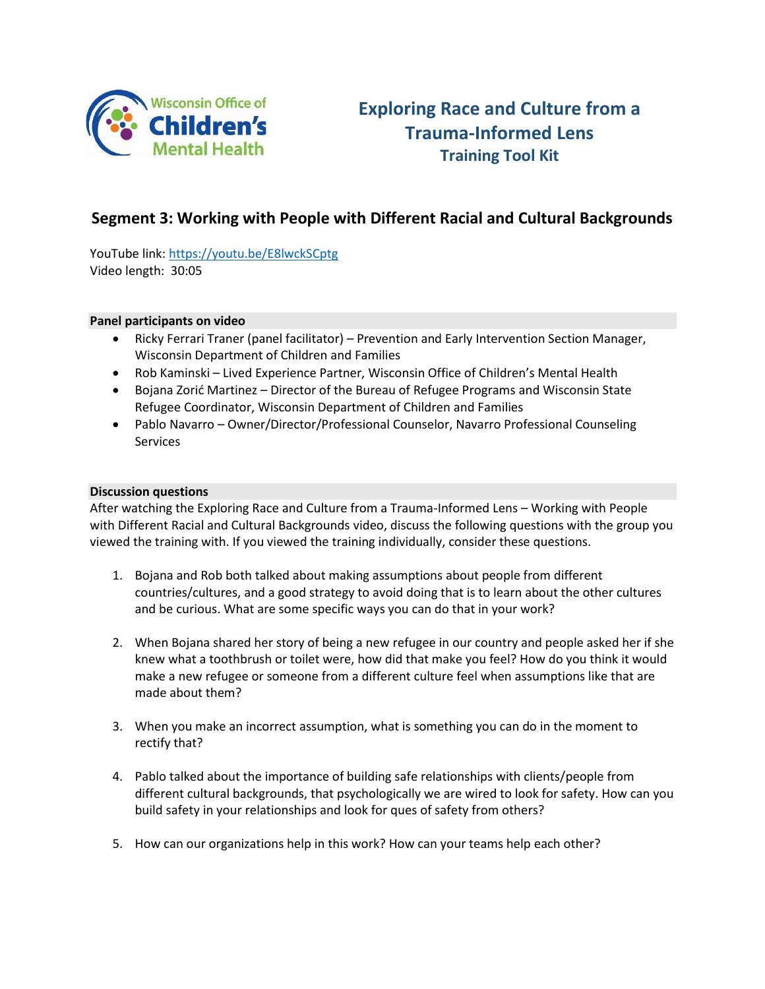

# **Exploring Race and Culture from a Trauma-Informed Lens Training Tool Kit**

# **Segment 3: Working with People with Different Racial and Cultural Backgrounds**

YouTube link:<https://youtu.be/E8lwckSCptg> Video length: 30:05

#### **Panel participants on video**

- Ricky Ferrari Traner (panel facilitator) Prevention and Early Intervention Section Manager, Wisconsin Department of Children and Families
- Rob Kaminski Lived Experience Partner, Wisconsin Office of Children's Mental Health
- Bojana Zorić Martinez Director of the Bureau of Refugee Programs and Wisconsin State Refugee Coordinator, Wisconsin Department of Children and Families
- Pablo Navarro Owner/Director/Professional Counselor, Navarro Professional Counseling **Services**

#### **Discussion questions**

After watching the Exploring Race and Culture from a Trauma-Informed Lens – Working with People with Different Racial and Cultural Backgrounds video, discuss the following questions with the group you viewed the training with. If you viewed the training individually, consider these questions.

- 1. Bojana and Rob both talked about making assumptions about people from different countries/cultures, and a good strategy to avoid doing that is to learn about the other cultures and be curious. What are some specific ways you can do that in your work?
- 2. When Bojana shared her story of being a new refugee in our country and people asked her if she knew what a toothbrush or toilet were, how did that make you feel? How do you think it would make a new refugee or someone from a different culture feel when assumptions like that are made about them?
- 3. When you make an incorrect assumption, what is something you can do in the moment to rectify that?
- 4. Pablo talked about the importance of building safe relationships with clients/people from different cultural backgrounds, that psychologically we are wired to look for safety. How can you build safety in your relationships and look for ques of safety from others?
- 5. How can our organizations help in this work? How can your teams help each other?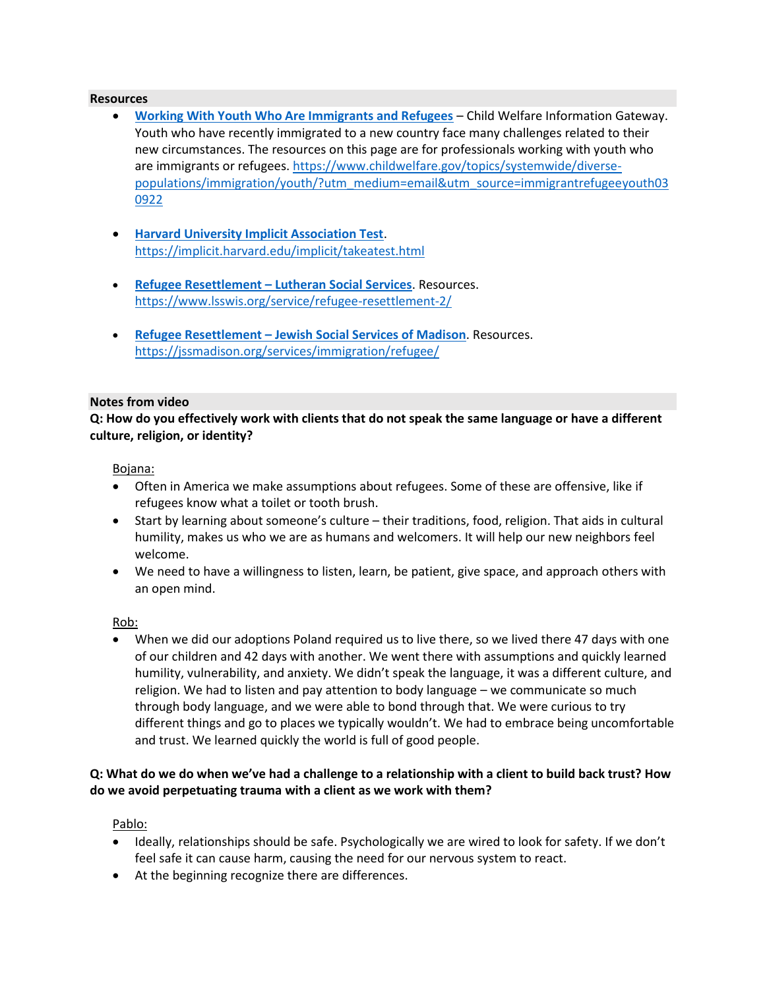#### **Resources**

- **[Working With Youth Who Are Immigrants and Refugees](https://www.childwelfare.gov/topics/systemwide/diverse-populations/immigration/youth/?utm_medium=email&utm_source=immigrantrefugeeyouth030922)** Child Welfare Information Gateway. Youth who have recently immigrated to a new country face many challenges related to their new circumstances. The resources on this page are for professionals working with youth who are immigrants or refugees[. https://www.childwelfare.gov/topics/systemwide/diverse](https://www.childwelfare.gov/topics/systemwide/diverse-populations/immigration/youth/?utm_medium=email&utm_source=immigrantrefugeeyouth030922)[populations/immigration/youth/?utm\\_medium=email&utm\\_source=immigrantrefugeeyouth03](https://www.childwelfare.gov/topics/systemwide/diverse-populations/immigration/youth/?utm_medium=email&utm_source=immigrantrefugeeyouth030922) [0922](https://www.childwelfare.gov/topics/systemwide/diverse-populations/immigration/youth/?utm_medium=email&utm_source=immigrantrefugeeyouth030922)
- **[Harvard University Implicit Association Test](https://implicit.harvard.edu/implicit/takeatest.html)**. <https://implicit.harvard.edu/implicit/takeatest.html>
- **Refugee Resettlement – [Lutheran Social Services](https://www.lsswis.org/service/refugee-resettlement-2/)**. Resources. <https://www.lsswis.org/service/refugee-resettlement-2/>
- **Refugee Resettlement – [Jewish Social Services of Madison](https://jssmadison.org/services/immigration/refugee/)**. Resources. <https://jssmadison.org/services/immigration/refugee/>

#### **Notes from video**

**Q: How do you effectively work with clients that do not speak the same language or have a different culture, religion, or identity?**

Bojana:

- Often in America we make assumptions about refugees. Some of these are offensive, like if refugees know what a toilet or tooth brush.
- Start by learning about someone's culture their traditions, food, religion. That aids in cultural humility, makes us who we are as humans and welcomers. It will help our new neighbors feel welcome.
- We need to have a willingness to listen, learn, be patient, give space, and approach others with an open mind.

Rob:

• When we did our adoptions Poland required us to live there, so we lived there 47 days with one of our children and 42 days with another. We went there with assumptions and quickly learned humility, vulnerability, and anxiety. We didn't speak the language, it was a different culture, and religion. We had to listen and pay attention to body language – we communicate so much through body language, and we were able to bond through that. We were curious to try different things and go to places we typically wouldn't. We had to embrace being uncomfortable and trust. We learned quickly the world is full of good people.

# **Q: What do we do when we've had a challenge to a relationship with a client to build back trust? How do we avoid perpetuating trauma with a client as we work with them?**

Pablo:

- Ideally, relationships should be safe. Psychologically we are wired to look for safety. If we don't feel safe it can cause harm, causing the need for our nervous system to react.
- At the beginning recognize there are differences.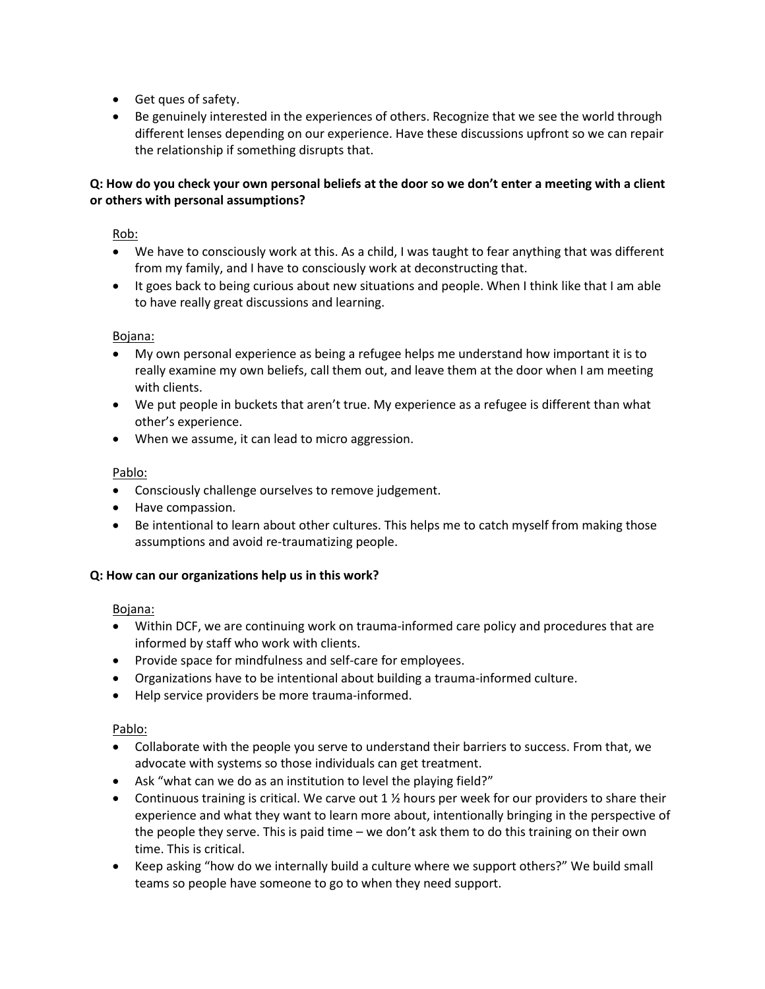- Get ques of safety.
- Be genuinely interested in the experiences of others. Recognize that we see the world through different lenses depending on our experience. Have these discussions upfront so we can repair the relationship if something disrupts that.

# **Q: How do you check your own personal beliefs at the door so we don't enter a meeting with a client or others with personal assumptions?**

Rob:

- We have to consciously work at this. As a child, I was taught to fear anything that was different from my family, and I have to consciously work at deconstructing that.
- It goes back to being curious about new situations and people. When I think like that I am able to have really great discussions and learning.

Bojana:

- My own personal experience as being a refugee helps me understand how important it is to really examine my own beliefs, call them out, and leave them at the door when I am meeting with clients.
- We put people in buckets that aren't true. My experience as a refugee is different than what other's experience.
- When we assume, it can lead to micro aggression.

Pablo:

- Consciously challenge ourselves to remove judgement.
- Have compassion.
- Be intentional to learn about other cultures. This helps me to catch myself from making those assumptions and avoid re-traumatizing people.

#### **Q: How can our organizations help us in this work?**

#### Bojana:

- Within DCF, we are continuing work on trauma-informed care policy and procedures that are informed by staff who work with clients.
- Provide space for mindfulness and self-care for employees.
- Organizations have to be intentional about building a trauma-informed culture.
- Help service providers be more trauma-informed.

#### Pablo:

- Collaborate with the people you serve to understand their barriers to success. From that, we advocate with systems so those individuals can get treatment.
- Ask "what can we do as an institution to level the playing field?"
- Continuous training is critical. We carve out  $1 \frac{1}{2}$  hours per week for our providers to share their experience and what they want to learn more about, intentionally bringing in the perspective of the people they serve. This is paid time – we don't ask them to do this training on their own time. This is critical.
- Keep asking "how do we internally build a culture where we support others?" We build small teams so people have someone to go to when they need support.